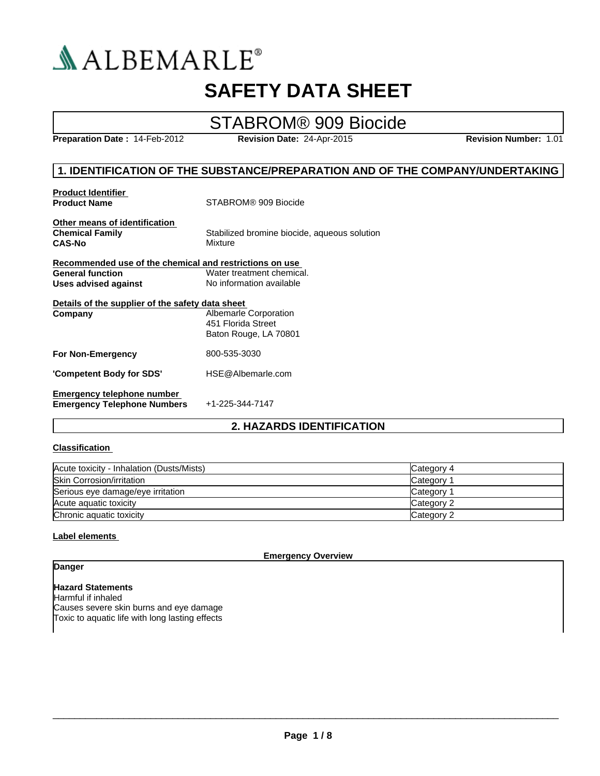

## **SAFETY DATA SHEET**

## STABROM® 909 Biocide

**Preparation Date :** 14-Feb-2012 **Revision Date:** 24-Apr-2015 **Revision Number:** 1.01

#### **1. IDENTIFICATION OF THE SUBSTANCE/PREPARATION AND OF THE COMPANY/UNDERTAKING**

| <b>Product Identifier</b><br><b>Product Name</b>                         | STABROM® 909 Biocide                                                 |
|--------------------------------------------------------------------------|----------------------------------------------------------------------|
| Other means of identification<br><b>Chemical Family</b><br><b>CAS-No</b> | Stabilized bromine biocide, aqueous solution<br>Mixture              |
| Recommended use of the chemical and restrictions on use                  |                                                                      |
| <b>General function</b>                                                  | Water treatment chemical.                                            |
| Uses advised against                                                     | No information available                                             |
| Details of the supplier of the safety data sheet<br>Company              | Albemarle Corporation<br>451 Florida Street<br>Baton Rouge, LA 70801 |
| <b>For Non-Emergency</b>                                                 | 800-535-3030                                                         |
| 'Competent Body for SDS'                                                 | HSE@Albemarle.com                                                    |
| Emergency telephone number<br><b>Emergency Telephone Numbers</b>         | +1-225-344-7147                                                      |

#### **2. HAZARDS IDENTIFICATION**

#### **Classification**

| Acute toxicity - Inhalation (Dusts/Mists) | Category 4            |
|-------------------------------------------|-----------------------|
| <b>Skin Corrosion/irritation</b>          | Category <sup>2</sup> |
| Serious eye damage/eye irritation         | Category 1            |
| Acute aguatic toxicity                    | Category 2            |
| Chronic aquatic toxicity                  | Category 2            |

#### **Label elements**

**Emergency Overview**

#### **Danger**

**Hazard Statements** Harmful if inhaled Causes severe skin burns and eye damage Toxic to aquatic life with long lasting effects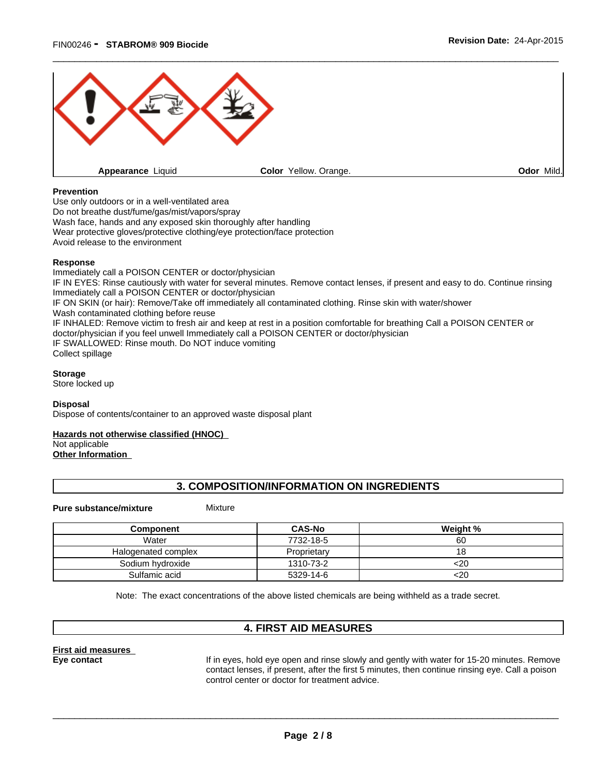

#### **Prevention**

Use only outdoors or in a well-ventilated area Do not breathe dust/fume/gas/mist/vapors/spray Wash face, hands and any exposed skin thoroughly after handling Wear protective gloves/protective clothing/eye protection/face protection Avoid release to the environment

#### **Response**

Immediately call a POISON CENTER or doctor/physician IF IN EYES: Rinse cautiously with water for several minutes. Remove contact lenses, if present and easy to do. Continue rinsing Immediately call a POISON CENTER or doctor/physician IF ON SKIN (or hair): Remove/Take off immediately all contaminated clothing. Rinse skin with water/shower Wash contaminated clothing before reuse IF INHALED: Remove victim to fresh air and keep at rest in a position comfortable for breathing Call a POISON CENTER or doctor/physician if you feel unwell Immediately call a POISON CENTER or doctor/physician IF SWALLOWED: Rinse mouth. Do NOT induce vomiting Collect spillage

**Storage**

Store locked up

#### **Disposal**

Dispose of contents/container to an approved waste disposal plant

#### **Hazards not otherwise classified (HNOC)**

Not applicable

**Other Information** 

#### **3. COMPOSITION/INFORMATION ON INGREDIENTS**

#### **Pure substance/mixture** Mixture

| Component           | <b>CAS-No</b> | Weight % |
|---------------------|---------------|----------|
| Water               | 7732-18-5     | 60       |
| Halogenated complex | Proprietary   |          |
| Sodium hydroxide    | 1310-73-2     | <20      |
| Sulfamic acid       | 5329-14-6     | <20      |

Note: The exact concentrations of the above listed chemicals are being withheld as a trade secret.

#### **4. FIRST AID MEASURES**

**First aid measures** 

**Eye contact** If in eyes, hold eye open and rinse slowly and gently with water for 15-20 minutes. Remove contact lenses, if present, after the first 5 minutes, then continue rinsing eye. Call a poison control center or doctor for treatment advice.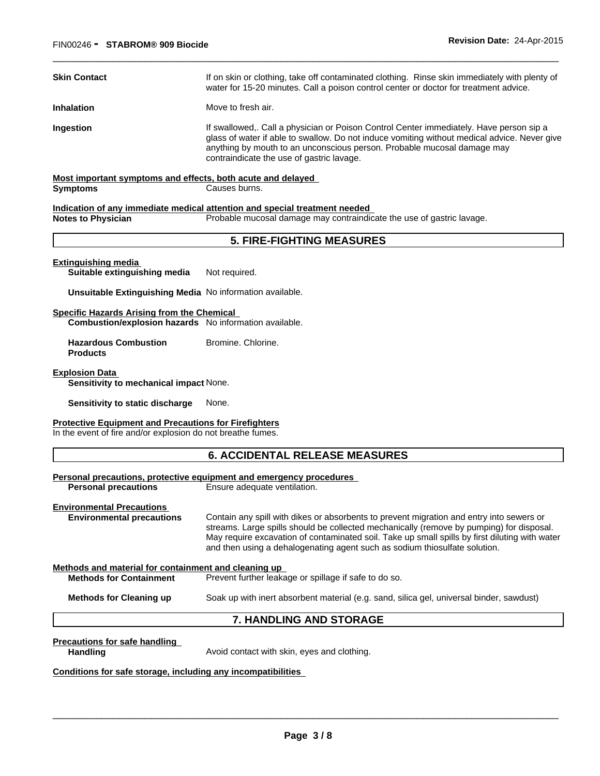| <b>Skin Contact</b>                                                                                                         | If on skin or clothing, take off contaminated clothing. Rinse skin immediately with plenty of<br>water for 15-20 minutes. Call a poison control center or doctor for treatment advice.                                                                                                                                                                               |
|-----------------------------------------------------------------------------------------------------------------------------|----------------------------------------------------------------------------------------------------------------------------------------------------------------------------------------------------------------------------------------------------------------------------------------------------------------------------------------------------------------------|
| <b>Inhalation</b>                                                                                                           | Move to fresh air.                                                                                                                                                                                                                                                                                                                                                   |
| Ingestion                                                                                                                   | If swallowed,. Call a physician or Poison Control Center immediately. Have person sip a<br>glass of water if able to swallow. Do not induce vomiting without medical advice. Never give<br>anything by mouth to an unconscious person. Probable mucosal damage may<br>contraindicate the use of gastric lavage.                                                      |
| Most important symptoms and effects, both acute and delayed                                                                 |                                                                                                                                                                                                                                                                                                                                                                      |
| <b>Symptoms</b>                                                                                                             | Causes burns.                                                                                                                                                                                                                                                                                                                                                        |
|                                                                                                                             | Indication of any immediate medical attention and special treatment needed                                                                                                                                                                                                                                                                                           |
| <b>Notes to Physician</b>                                                                                                   | Probable mucosal damage may contraindicate the use of gastric lavage.                                                                                                                                                                                                                                                                                                |
|                                                                                                                             | <b>5. FIRE-FIGHTING MEASURES</b>                                                                                                                                                                                                                                                                                                                                     |
| <b>Extinguishing media</b><br>Suitable extinguishing media                                                                  | Not required.                                                                                                                                                                                                                                                                                                                                                        |
| Unsuitable Extinguishing Media No information available.                                                                    |                                                                                                                                                                                                                                                                                                                                                                      |
| <b>Specific Hazards Arising from the Chemical</b><br>Combustion/explosion hazards No information available.                 |                                                                                                                                                                                                                                                                                                                                                                      |
| <b>Hazardous Combustion</b><br><b>Products</b>                                                                              | Bromine, Chlorine.                                                                                                                                                                                                                                                                                                                                                   |
| <b>Explosion Data</b><br>Sensitivity to mechanical impact None.                                                             |                                                                                                                                                                                                                                                                                                                                                                      |
| Sensitivity to static discharge                                                                                             | None.                                                                                                                                                                                                                                                                                                                                                                |
| <b>Protective Equipment and Precautions for Firefighters</b><br>In the event of fire and/or explosion do not breathe fumes. |                                                                                                                                                                                                                                                                                                                                                                      |
|                                                                                                                             | <b>6. ACCIDENTAL RELEASE MEASURES</b>                                                                                                                                                                                                                                                                                                                                |
| <b>Personal precautions</b>                                                                                                 | <u>Personal precautions, protective equipment and emergency procedures</u><br>Ensure adequate ventilation.                                                                                                                                                                                                                                                           |
| <b>Environmental Precautions</b><br><b>Environmental precautions</b>                                                        | Contain any spill with dikes or absorbents to prevent migration and entry into sewers or<br>streams. Large spills should be collected mechanically (remove by pumping) for disposal.<br>May require excavation of contaminated soil. Take up small spills by first diluting with water<br>and then using a dehalogenating agent such as sodium thiosulfate solution. |
| Methods and material for containment and cleaning up<br><b>Methods for Containment</b>                                      | Prevent further leakage or spillage if safe to do so.                                                                                                                                                                                                                                                                                                                |
| <b>Methods for Cleaning up</b>                                                                                              | Soak up with inert absorbent material (e.g. sand, silica gel, universal binder, sawdust)                                                                                                                                                                                                                                                                             |
|                                                                                                                             | 7. HANDLING AND STORAGE                                                                                                                                                                                                                                                                                                                                              |
| <b>Precautions for safe handling</b><br><b>Handling</b>                                                                     | Avoid contact with skin, eyes and clothing.                                                                                                                                                                                                                                                                                                                          |
| Conditions for safe storage, including any incompatibilities                                                                |                                                                                                                                                                                                                                                                                                                                                                      |
|                                                                                                                             |                                                                                                                                                                                                                                                                                                                                                                      |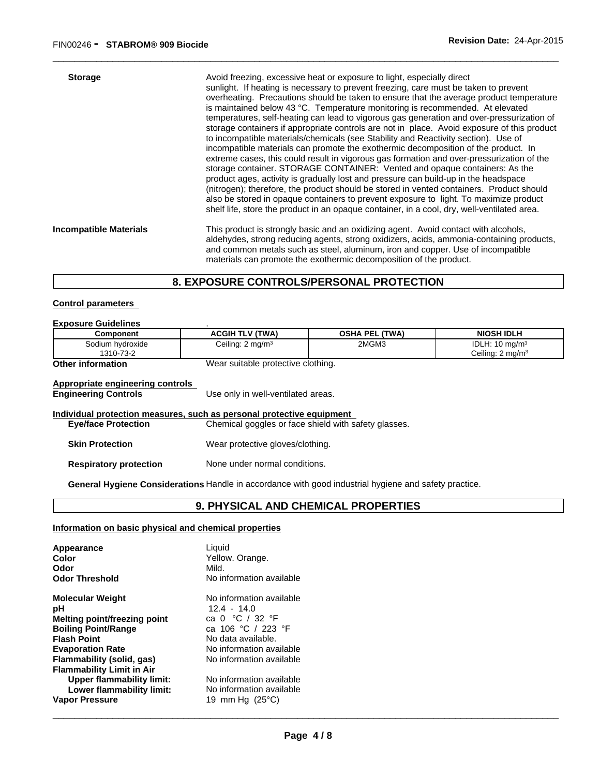| <b>Storage</b>                | Avoid freezing, excessive heat or exposure to light, especially direct<br>sunlight. If heating is necessary to prevent freezing, care must be taken to prevent<br>overheating. Precautions should be taken to ensure that the average product temperature<br>is maintained below 43 °C. Temperature monitoring is recommended. At elevated<br>temperatures, self-heating can lead to vigorous gas generation and over-pressurization of<br>storage containers if appropriate controls are not in place. Avoid exposure of this product<br>to incompatible materials/chemicals (see Stability and Reactivity section). Use of<br>incompatible materials can promote the exothermic decomposition of the product. In<br>extreme cases, this could result in vigorous gas formation and over-pressurization of the<br>storage container. STORAGE CONTAINER: Vented and opaque containers: As the<br>product ages, activity is gradually lost and pressure can build-up in the headspace<br>(nitrogen); therefore, the product should be stored in vented containers. Product should<br>also be stored in opaque containers to prevent exposure to light. To maximize product<br>shelf life, store the product in an opaque container, in a cool, dry, well-ventilated area. |
|-------------------------------|--------------------------------------------------------------------------------------------------------------------------------------------------------------------------------------------------------------------------------------------------------------------------------------------------------------------------------------------------------------------------------------------------------------------------------------------------------------------------------------------------------------------------------------------------------------------------------------------------------------------------------------------------------------------------------------------------------------------------------------------------------------------------------------------------------------------------------------------------------------------------------------------------------------------------------------------------------------------------------------------------------------------------------------------------------------------------------------------------------------------------------------------------------------------------------------------------------------------------------------------------------------------------|
| <b>Incompatible Materials</b> | This product is strongly basic and an oxidizing agent. Avoid contact with alcohols,<br>aldehydes, strong reducing agents, strong oxidizers, acids, ammonia-containing products,<br>and common metals such as steel, aluminum, iron and copper. Use of incompatible<br>materials can promote the exothermic decomposition of the product.                                                                                                                                                                                                                                                                                                                                                                                                                                                                                                                                                                                                                                                                                                                                                                                                                                                                                                                                 |

\_\_\_\_\_\_\_\_\_\_\_\_\_\_\_\_\_\_\_\_\_\_\_\_\_\_\_\_\_\_\_\_\_\_\_\_\_\_\_\_\_\_\_\_\_\_\_\_\_\_\_\_\_\_\_\_\_\_\_\_\_\_\_\_\_\_\_\_\_\_\_\_\_\_\_\_\_\_\_\_\_\_\_\_\_\_\_\_\_\_\_\_\_

#### **8. EXPOSURE CONTROLS/PERSONAL PROTECTION**

#### **Control parameters**

#### **Exposure Guidelines** .

| Component                                                       | <b>ACGIH TLV (TWA)</b>             | <b>OSHA PEL (TWA)</b> | <b>NIOSH IDLH</b>                                        |
|-----------------------------------------------------------------|------------------------------------|-----------------------|----------------------------------------------------------|
| Sodium hydroxide<br>1310-73-2                                   | Ceiling: $2 \text{ mg/m}^3$        | 2MGM3                 | IDLH: $10 \text{ mg/m}^3$<br>Ceiling: $2 \text{ mg/m}^3$ |
| <b>Other information</b>                                        | Wear suitable protective clothing. |                       |                                                          |
| Appropriate engineering controls<br><b>Engineering Controls</b> | Use only in well-ventilated areas. |                       |                                                          |

|                               | Individual protection measures, such as personal protective equipment |
|-------------------------------|-----------------------------------------------------------------------|
| <b>Eye/face Protection</b>    | Chemical goggles or face shield with safety glasses.                  |
| <b>Skin Protection</b>        | Wear protective gloves/clothing.                                      |
| <b>Respiratory protection</b> | None under normal conditions.                                         |

**General Hygiene Considerations** Handle in accordance with good industrial hygiene and safety practice.

### **9. PHYSICAL AND CHEMICAL PROPERTIES**

#### **Information on basic physical and chemical properties**

| Appearance                       | Liquid                              |  |
|----------------------------------|-------------------------------------|--|
| Color                            | Yellow. Orange.                     |  |
| Odor                             | Mild.                               |  |
| <b>Odor Threshold</b>            | No information available            |  |
| <b>Molecular Weight</b>          | No information available            |  |
| рH                               | $12.4 - 14.0$                       |  |
| Melting point/freezing point     | ca 0 $^{\circ}$ C / 32 $^{\circ}$ F |  |
| <b>Boiling Point/Range</b>       | ca 106 °C / 223 °F                  |  |
| <b>Flash Point</b>               | No data available.                  |  |
| <b>Evaporation Rate</b>          | No information available            |  |
| Flammability (solid, gas)        | No information available            |  |
| <b>Flammability Limit in Air</b> |                                     |  |
| <b>Upper flammability limit:</b> | No information available            |  |
| Lower flammability limit:        | No information available            |  |
| <b>Vapor Pressure</b>            | 19 mm Hg $(25^{\circ}C)$            |  |
|                                  |                                     |  |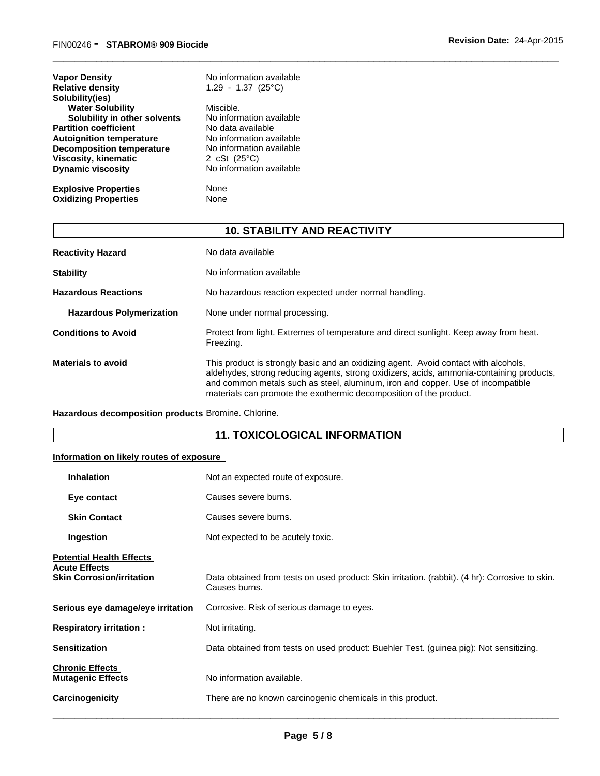| <b>Vapor Density</b><br><b>Relative density</b><br>Solubility(ies) | No information available<br>$1.29 - 1.37$ (25°C) |
|--------------------------------------------------------------------|--------------------------------------------------|
| <b>Water Solubility</b>                                            | Miscible.                                        |
| Solubility in other solvents                                       | No information available                         |
| <b>Partition coefficient</b>                                       | No data available                                |
| <b>Autoignition temperature</b>                                    | No information available                         |
| <b>Decomposition temperature</b>                                   | No information available                         |
| Viscosity, kinematic                                               | 2 cSt $(25^{\circ}C)$                            |
| <b>Dynamic viscosity</b>                                           | No information available                         |
| <b>Explosive Properties</b>                                        | None                                             |
| <b>Oxidizing Properties</b>                                        | None                                             |

### **10. STABILITY AND REACTIVITY**

\_\_\_\_\_\_\_\_\_\_\_\_\_\_\_\_\_\_\_\_\_\_\_\_\_\_\_\_\_\_\_\_\_\_\_\_\_\_\_\_\_\_\_\_\_\_\_\_\_\_\_\_\_\_\_\_\_\_\_\_\_\_\_\_\_\_\_\_\_\_\_\_\_\_\_\_\_\_\_\_\_\_\_\_\_\_\_\_\_\_\_\_\_

| <b>Reactivity Hazard</b>        | No data available                                                                                                                                                                                                                                                                                                                        |
|---------------------------------|------------------------------------------------------------------------------------------------------------------------------------------------------------------------------------------------------------------------------------------------------------------------------------------------------------------------------------------|
| <b>Stability</b>                | No information available                                                                                                                                                                                                                                                                                                                 |
| <b>Hazardous Reactions</b>      | No hazardous reaction expected under normal handling.                                                                                                                                                                                                                                                                                    |
| <b>Hazardous Polymerization</b> | None under normal processing.                                                                                                                                                                                                                                                                                                            |
| <b>Conditions to Avoid</b>      | Protect from light. Extremes of temperature and direct sunlight. Keep away from heat.<br>Freezing.                                                                                                                                                                                                                                       |
| <b>Materials to avoid</b>       | This product is strongly basic and an oxidizing agent. Avoid contact with alcohols,<br>aldehydes, strong reducing agents, strong oxidizers, acids, ammonia-containing products,<br>and common metals such as steel, aluminum, iron and copper. Use of incompatible<br>materials can promote the exothermic decomposition of the product. |

**Hazardous decomposition products** Bromine. Chlorine.

#### **11. TOXICOLOGICAL INFORMATION**

#### **Information on likely routes of exposure**

| <b>Inhalation</b>                                                                           | Not an expected route of exposure.                                                                               |
|---------------------------------------------------------------------------------------------|------------------------------------------------------------------------------------------------------------------|
| Eye contact                                                                                 | Causes severe burns.                                                                                             |
| <b>Skin Contact</b>                                                                         | Causes severe burns.                                                                                             |
| Ingestion                                                                                   | Not expected to be acutely toxic.                                                                                |
| <b>Potential Health Effects</b><br><b>Acute Effects</b><br><b>Skin Corrosion/irritation</b> | Data obtained from tests on used product: Skin irritation. (rabbit). (4 hr): Corrosive to skin.<br>Causes burns. |
| Serious eye damage/eye irritation                                                           | Corrosive. Risk of serious damage to eyes.                                                                       |
| <b>Respiratory irritation:</b>                                                              | Not irritating.                                                                                                  |
| <b>Sensitization</b>                                                                        | Data obtained from tests on used product: Buehler Test. (guinea pig): Not sensitizing.                           |
| <b>Chronic Effects</b><br><b>Mutagenic Effects</b>                                          | No information available.                                                                                        |
| Carcinogenicity                                                                             | There are no known carcinogenic chemicals in this product.                                                       |
|                                                                                             |                                                                                                                  |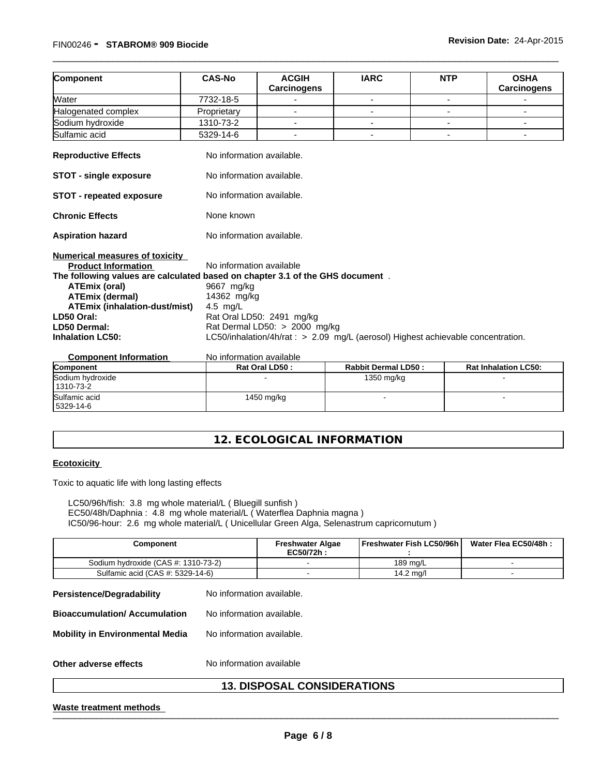#### FIN00246 **- STABROM® <sup>909</sup> Biocide Revision Date:** 24-Apr-2015

| Component                                                                                                                                                                                                                                                                                               | <b>CAS-No</b>                                                       | <b>ACGIH</b><br><b>Carcinogens</b>                                                                                                             | <b>IARC</b> | <b>NTP</b> | <b>OSHA</b><br><b>Carcinogens</b> |  |  |
|---------------------------------------------------------------------------------------------------------------------------------------------------------------------------------------------------------------------------------------------------------------------------------------------------------|---------------------------------------------------------------------|------------------------------------------------------------------------------------------------------------------------------------------------|-------------|------------|-----------------------------------|--|--|
| Water                                                                                                                                                                                                                                                                                                   | 7732-18-5                                                           |                                                                                                                                                |             |            |                                   |  |  |
| Halogenated complex                                                                                                                                                                                                                                                                                     | Proprietary                                                         |                                                                                                                                                |             |            |                                   |  |  |
| Sodium hydroxide                                                                                                                                                                                                                                                                                        | 1310-73-2                                                           |                                                                                                                                                |             |            |                                   |  |  |
| Sulfamic acid                                                                                                                                                                                                                                                                                           | 5329-14-6                                                           | ٠                                                                                                                                              |             |            | ٠                                 |  |  |
| <b>Reproductive Effects</b>                                                                                                                                                                                                                                                                             | No information available.                                           |                                                                                                                                                |             |            |                                   |  |  |
| <b>STOT - single exposure</b>                                                                                                                                                                                                                                                                           |                                                                     | No information available.                                                                                                                      |             |            |                                   |  |  |
| <b>STOT - repeated exposure</b>                                                                                                                                                                                                                                                                         | No information available.                                           |                                                                                                                                                |             |            |                                   |  |  |
| <b>Chronic Effects</b>                                                                                                                                                                                                                                                                                  | None known                                                          |                                                                                                                                                |             |            |                                   |  |  |
| <b>Aspiration hazard</b>                                                                                                                                                                                                                                                                                |                                                                     | No information available.                                                                                                                      |             |            |                                   |  |  |
| <b>Numerical measures of toxicity</b><br><b>Product Information</b><br>The following values are calculated based on chapter 3.1 of the GHS document.<br><b>ATEmix (oral)</b><br><b>ATEmix (dermal)</b><br>ATEmix (inhalation-dust/mist)<br>LD50 Oral:<br><b>LD50 Dermal:</b><br><b>Inhalation LC50:</b> | No information available<br>9667 mg/kg<br>14362 mg/kg<br>4.5 $mg/L$ | Rat Oral LD50: 2491 mg/kg<br>Rat Dermal LD50: > 2000 mg/kg<br>LC50/inhalation/4h/rat : > 2.09 mg/L (aerosol) Highest achievable concentration. |             |            |                                   |  |  |

\_\_\_\_\_\_\_\_\_\_\_\_\_\_\_\_\_\_\_\_\_\_\_\_\_\_\_\_\_\_\_\_\_\_\_\_\_\_\_\_\_\_\_\_\_\_\_\_\_\_\_\_\_\_\_\_\_\_\_\_\_\_\_\_\_\_\_\_\_\_\_\_\_\_\_\_\_\_\_\_\_\_\_\_\_\_\_\_\_\_\_\_\_

| <b>Component Information</b> | No information available |              |
|------------------------------|--------------------------|--------------|
| $\cdots$                     | <b>Det Ovel LDEA.</b>    | Dekkit Desse |

| Component                    | Rat Oral LD50: | <b>Rabbit Dermal LD50:</b> | <b>Rat Inhalation LC50:</b> |
|------------------------------|----------------|----------------------------|-----------------------------|
| Sodium hydroxide             |                | 1350 mg/kg                 |                             |
| 1310-73-2                    |                |                            |                             |
| Sulfamic acid<br>  5329-14-6 | 1450 mg/kg     |                            |                             |

#### **12. ECOLOGICAL INFORMATION**

#### **Ecotoxicity**

Toxic to aquatic life with long lasting effects

LC50/96h/fish: 3.8 mg whole material/L ( Bluegill sunfish ) EC50/48h/Daphnia : 4.8 mg whole material/L ( Waterflea Daphnia magna ) IC50/96-hour: 2.6 mg whole material/L ( Unicellular Green Alga, Selenastrum capricornutum )

| Component                           | <b>Freshwater Algae</b><br>EC50/72h: | <b>Freshwater Fish LC50/96h</b> | Water Flea EC50/48h: |
|-------------------------------------|--------------------------------------|---------------------------------|----------------------|
| Sodium hydroxide (CAS #: 1310-73-2) |                                      | 189 ma/L                        |                      |
| Sulfamic acid (CAS #: 5329-14-6)    |                                      | 14.2 mg/l                       |                      |

**Persistence/Degradability** No information available. **Bioaccumulation/ Accumulation** No information available. **Mobility in Environmental Media** No information available. **Other adverse effects** No information available

# Other adverse effects<br>
No information available<br>
13. DISPOSAL CONSIDERATIONS<br>
Waste treatment methods **13. DISPOSAL CONSIDERATIONS**

#### **Waste treatment methods**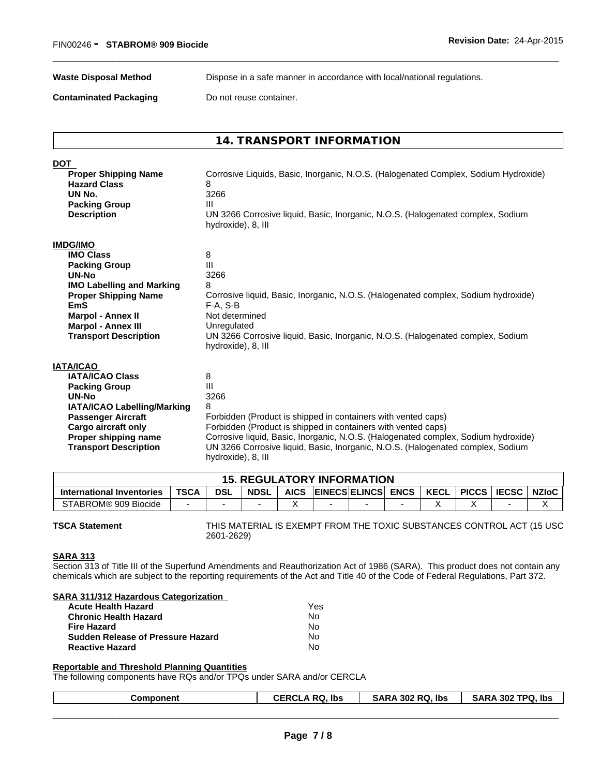**Waste Disposal Method** Dispose in a safe manner in accordance with local/national regulations.

\_\_\_\_\_\_\_\_\_\_\_\_\_\_\_\_\_\_\_\_\_\_\_\_\_\_\_\_\_\_\_\_\_\_\_\_\_\_\_\_\_\_\_\_\_\_\_\_\_\_\_\_\_\_\_\_\_\_\_\_\_\_\_\_\_\_\_\_\_\_\_\_\_\_\_\_\_\_\_\_\_\_\_\_\_\_\_\_\_\_\_\_\_

**Contaminated Packaging Do not reuse container.** 

#### **14. TRANSPORT INFORMATION**

| <b>DOT</b>                       |                                                                                                       |
|----------------------------------|-------------------------------------------------------------------------------------------------------|
| <b>Proper Shipping Name</b>      | Corrosive Liquids, Basic, Inorganic, N.O.S. (Halogenated Complex, Sodium Hydroxide)                   |
| <b>Hazard Class</b>              | 8                                                                                                     |
| UN No.                           | 3266                                                                                                  |
| <b>Packing Group</b>             | Ш                                                                                                     |
| <b>Description</b>               | UN 3266 Corrosive liquid, Basic, Inorganic, N.O.S. (Halogenated complex, Sodium<br>hydroxide), 8, III |
| <b>IMDG/IMO</b>                  |                                                                                                       |
| <b>IMO Class</b>                 | 8                                                                                                     |
| <b>Packing Group</b>             | Ш                                                                                                     |
| UN-No                            | 3266                                                                                                  |
| <b>IMO Labelling and Marking</b> |                                                                                                       |
| <b>Proper Shipping Name</b>      | Corrosive liquid, Basic, Inorganic, N.O.S. (Halogenated complex, Sodium hydroxide)                    |
| <b>EmS</b>                       | $F-A, S-B$                                                                                            |
| <b>Marpol - Annex II</b>         | Not determined                                                                                        |
| <b>Marpol - Annex III</b>        | Unregulated                                                                                           |
| <b>Transport Description</b>     | UN 3266 Corrosive liquid, Basic, Inorganic, N.O.S. (Halogenated complex, Sodium<br>hydroxide), 8, III |
| <b>IATA/ICAO</b>                 |                                                                                                       |
| <b>IATA/ICAO Class</b>           | 8                                                                                                     |
| <b>Packing Group</b>             | Ш                                                                                                     |
| <b>UN-No</b>                     | 3266                                                                                                  |
| IATA/ICAO Labelling/Marking      |                                                                                                       |
| <b>Passenger Aircraft</b>        | Forbidden (Product is shipped in containers with vented caps)                                         |
| <b>Cargo aircraft only</b>       | Forbidden (Product is shipped in containers with vented caps)                                         |
| Proper shipping name             | Corrosive liquid, Basic, Inorganic, N.O.S. (Halogenated complex, Sodium hydroxide)                    |
| <b>Transport Description</b>     | UN 3266 Corrosive liquid, Basic, Inorganic, N.O.S. (Halogenated complex, Sodium<br>hydroxide), 8, III |

|                                  |             | э.         | <b>REGULA</b> |             | <b>LATORY INFORMATION</b> |             |             |              |              |              |
|----------------------------------|-------------|------------|---------------|-------------|---------------------------|-------------|-------------|--------------|--------------|--------------|
| <b>International Inventories</b> | <b>TSCA</b> | <b>DSL</b> | <b>NDSL</b>   | <b>AICS</b> | <b>EINECS ELINCS</b>      | <b>ENCS</b> | <b>KECL</b> | <b>PICCS</b> | <b>IECSC</b> | <b>NZIoC</b> |
| STABROM® 909 Biocide             |             |            |               |             |                           |             |             |              |              |              |

**TSCA Statement** THIS MATERIAL IS EXEMPT FROM THE TOXIC SUBSTANCES CONTROL ACT (15 USC 2601-2629)

#### **SARA 313**

Section 313 of Title III of the Superfund Amendments and Reauthorization Act of 1986 (SARA). This product does not contain any chemicals which are subject to the reporting requirements of the Act and Title 40 of the Code of Federal Regulations, Part 372.

#### **SARA 311/312 Hazardous Categorization**

| <b>Acute Health Hazard</b>               | Yes |
|------------------------------------------|-----|
| <b>Chronic Health Hazard</b>             | No  |
| <b>Fire Hazard</b>                       | N٥  |
| <b>Sudden Release of Pressure Hazard</b> | N٥  |
| <b>Reactive Hazard</b>                   | N٥  |

#### **Reportable and Threshold Planning Quantities**

The following components have RQs and/or TPQs under SARA and/or CERCLA

| <b>RC</b><br>302 RQ. lbs<br>lbs<br>SARA 302 TPQ.<br>ار ا<br>SARA<br>Component<br>וש ו<br>ul |
|---------------------------------------------------------------------------------------------|
|---------------------------------------------------------------------------------------------|